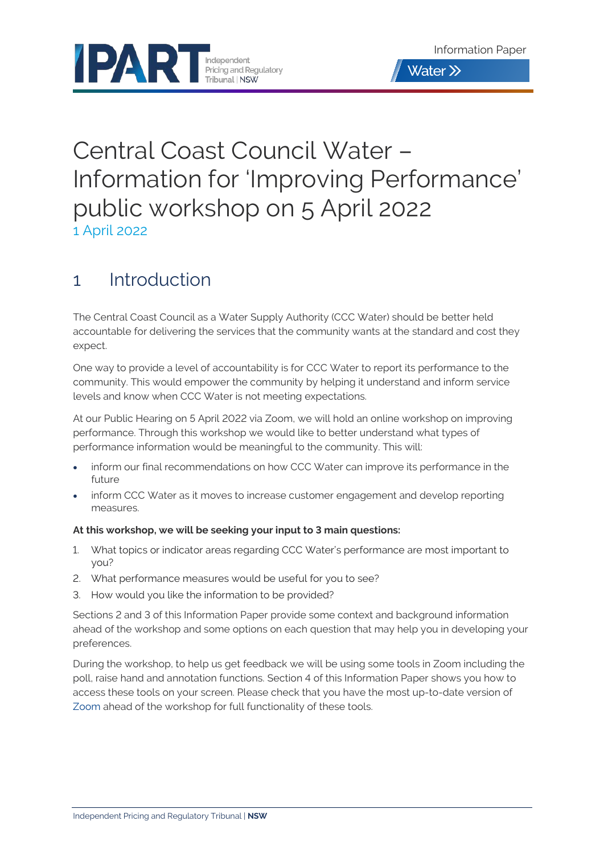

# Central Coast Council Water – Information for 'Improving Performance' public workshop on 5 April 2022 1 April 2022

## 1 Introduction

The Central Coast Council as a Water Supply Authority (CCC Water) should be better held accountable for delivering the services that the community wants at the standard and cost they expect.

One way to provide a level of accountability is for CCC Water to report its performance to the community. This would empower the community by helping it understand and inform service levels and know when CCC Water is not meeting expectations.

At our Public Hearing on 5 April 2022 via Zoom, we will hold an online workshop on improving performance. Through this workshop we would like to better understand what types of performance information would be meaningful to the community. This will:

- inform our final recommendations on how CCC Water can improve its performance in the future
- inform CCC Water as it moves to increase customer engagement and develop reporting measures.

#### **At this workshop, we will be seeking your input to 3 main questions:**

- 1. What topics or indicator areas regarding CCC Water's performance are most important to you?
- 2. What performance measures would be useful for you to see?
- 3. How would you like the information to be provided?

Sections 2 and 3 of this Information Paper provide some context and background information ahead of the workshop and some options on each question that may help you in developing your preferences.

During the workshop, to help us get feedback we will be using some tools in Zoom including the poll, raise hand and annotation functions. Section 4 of this Information Paper shows you how to access these tools on your screen. Please check that you have the most up-to-date version of [Zoom](https://www.zoom.us/) ahead of the workshop for full functionality of these tools.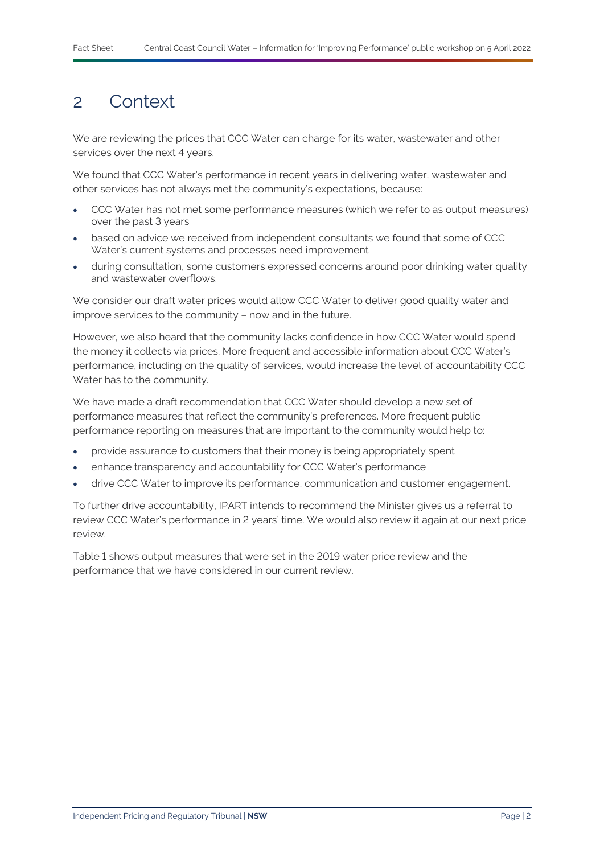### 2 Context

We are reviewing the prices that CCC Water can charge for its water, wastewater and other services over the next 4 years.

We found that CCC Water's performance in recent years in delivering water, wastewater and other services has not always met the community's expectations, because:

- CCC Water has not met some performance measures (which we refer to as output measures) over the past 3 years
- based on advice we received from independent consultants we found that some of CCC Water's current systems and processes need improvement
- during consultation, some customers expressed concerns around poor drinking water quality and wastewater overflows.

We consider our draft water prices would allow CCC Water to deliver good quality water and improve services to the community – now and in the future.

However, we also heard that the community lacks confidence in how CCC Water would spend the money it collects via prices. More frequent and accessible information about CCC Water's performance, including on the quality of services, would increase the level of accountability CCC Water has to the community.

We have made a draft recommendation that CCC Water should develop a new set of performance measures that reflect the community's preferences. More frequent public performance reporting on measures that are important to the community would help to:

- provide assurance to customers that their money is being appropriately spent
- enhance transparency and accountability for CCC Water's performance
- drive CCC Water to improve its performance, communication and customer engagement.

To further drive accountability, IPART intends to recommend the Minister gives us a referral to review CCC Water's performance in 2 years' time. We would also review it again at our next price review.

[Table](#page-2-0) 1 shows output measures that were set in the 2019 water price review and the performance that we have considered in our current review.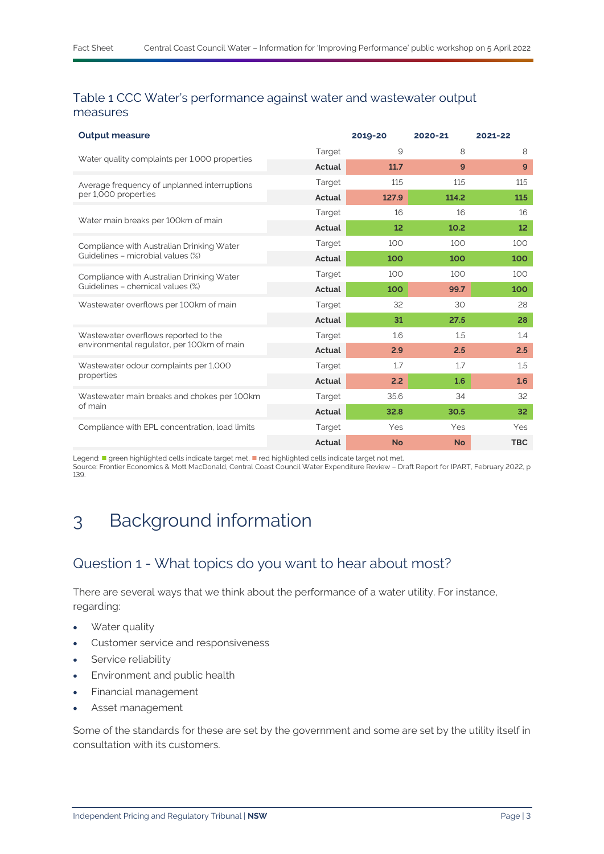#### <span id="page-2-0"></span>Table 1 CCC Water's performance against water and wastewater output measures

| 9<br>Target<br>8<br>Water quality complaints per 1,000 properties<br>Actual<br>11.7<br>9<br>Target<br>115<br>115<br>Average frequency of unplanned interruptions<br>per 1,000 properties<br>Actual<br>114.2<br>127.9 | 8<br>9          |
|----------------------------------------------------------------------------------------------------------------------------------------------------------------------------------------------------------------------|-----------------|
|                                                                                                                                                                                                                      |                 |
|                                                                                                                                                                                                                      |                 |
|                                                                                                                                                                                                                      | 115             |
|                                                                                                                                                                                                                      | 115             |
| Target<br>16<br>16<br>Water main breaks per 100km of main                                                                                                                                                            | 16              |
| Actual<br>12<br>10.2                                                                                                                                                                                                 | 12 <sup>2</sup> |
| Target<br>100<br>100<br>Compliance with Australian Drinking Water                                                                                                                                                    | 100             |
| Guidelines - microbial values (%)<br>Actual<br>100<br>100                                                                                                                                                            | 100             |
| Target<br>100<br>100<br>Compliance with Australian Drinking Water                                                                                                                                                    | 100             |
| Guidelines - chemical values (%)<br>Actual<br>100<br>99.7                                                                                                                                                            | 100             |
| Wastewater overflows per 100km of main<br>32<br>Target<br>30                                                                                                                                                         | 28              |
| Actual<br>27.5<br>31                                                                                                                                                                                                 | 28              |
| Wastewater overflows reported to the<br>Target<br>1.6<br>1.5                                                                                                                                                         | 1.4             |
| environmental regulator, per 100km of main<br>Actual<br>2.9<br>2.5                                                                                                                                                   | 2.5             |
| Wastewater odour complaints per 1,000<br>1.7<br>1.7<br>Target                                                                                                                                                        | 1.5             |
| properties<br>Actual<br>2.2<br>1.6                                                                                                                                                                                   | 1.6             |
| Wastewater main breaks and chokes per 100km<br>Target<br>35.6<br>34                                                                                                                                                  | 32              |
| of main<br>Actual<br>32.8<br>30.5                                                                                                                                                                                    | 32 <sub>2</sub> |
| Compliance with EPL concentration, load limits<br>Target<br>Yes<br>Yes                                                                                                                                               | Yes             |
| Actual<br><b>No</b><br><b>No</b>                                                                                                                                                                                     | <b>TBC</b>      |

Legend: " green highlighted cells indicate target met, " red highlighted cells indicate target not met. Source: Frontier Economics & Mott MacDonald, Central Coast Council Water Expenditure Review – Draft Report for IPART, February 2022, p 139.

## 3 Background information

### Question 1 - What topics do you want to hear about most?

There are several ways that we think about the performance of a water utility. For instance, regarding:

- Water quality
- Customer service and responsiveness
- Service reliability
- Environment and public health
- Financial management
- Asset management

Some of the standards for these are set by the government and some are set by the utility itself in consultation with its customers.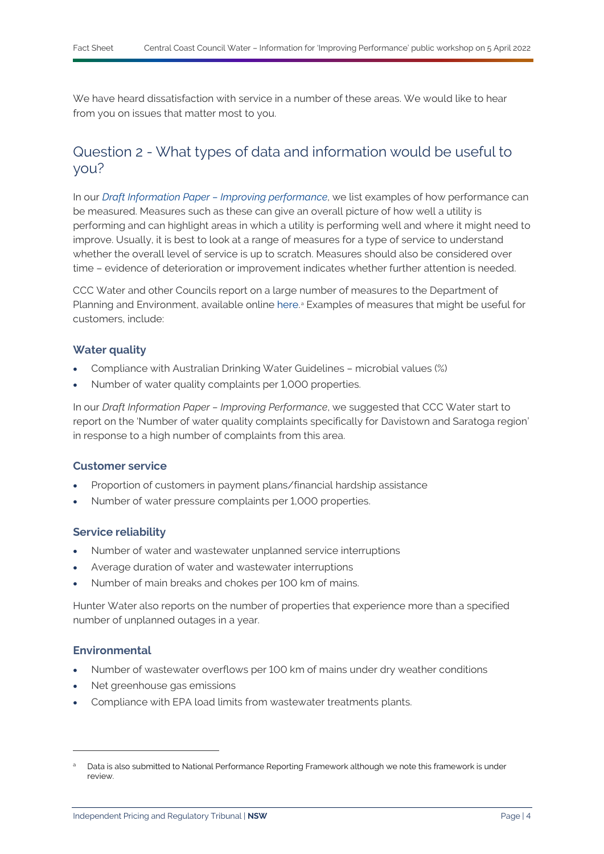We have heard dissatisfaction with service in a number of these areas. We would like to hear from you on issues that matter most to you.

### Question 2 - What types of data and information would be useful to you?

In our *[Draft Information Paper –](https://www.ipart.nsw.gov.au/sites/default/files/cm9_documents/Draft-Information-Paper-Improving-performance-Central-Coast-water-prices-March-2022.PDF) Improving performance*, we list examples of how performance can be measured. Measures such as these can give an overall picture of how well a utility is performing and can highlight areas in which a utility is performing well and where it might need to improve. Usually, it is best to look at a range of measures for a type of service to understand whether the overall level of service is up to scratch. Measures should also be considered over time – evidence of deterioration or improvement indicates whether further attention is needed.

CCC Water and other Councils report on a large number of measures to the Department of Planning and Environment, available online [here.](https://www.industry.nsw.gov.au/water/water-utilities/lwu-performance-monitoring-data)<sup>3</sup> Ex[a](#page-3-0)mples of measures that might be useful for customers, include:

#### **Water quality**

- Compliance with Australian Drinking Water Guidelines microbial values (%)
- Number of water quality complaints per 1,000 properties.

In our *Draft Information Paper – Improving Performance*, we suggested that CCC Water start to report on the 'Number of water quality complaints specifically for Davistown and Saratoga region' in response to a high number of complaints from this area.

#### **Customer service**

- Proportion of customers in payment plans/financial hardship assistance
- Number of water pressure complaints per 1,000 properties.

#### **Service reliability**

- Number of water and wastewater unplanned service interruptions
- Average duration of water and wastewater interruptions
- Number of main breaks and chokes per 100 km of mains.

Hunter Water also reports on the number of properties that experience more than a specified number of unplanned outages in a year.

#### **Environmental**

- Number of wastewater overflows per 100 km of mains under dry weather conditions
- Net greenhouse gas emissions
- Compliance with EPA load limits from wastewater treatments plants.

<span id="page-3-0"></span>Data is also submitted to National Performance Reporting Framework although we note this framework is under review.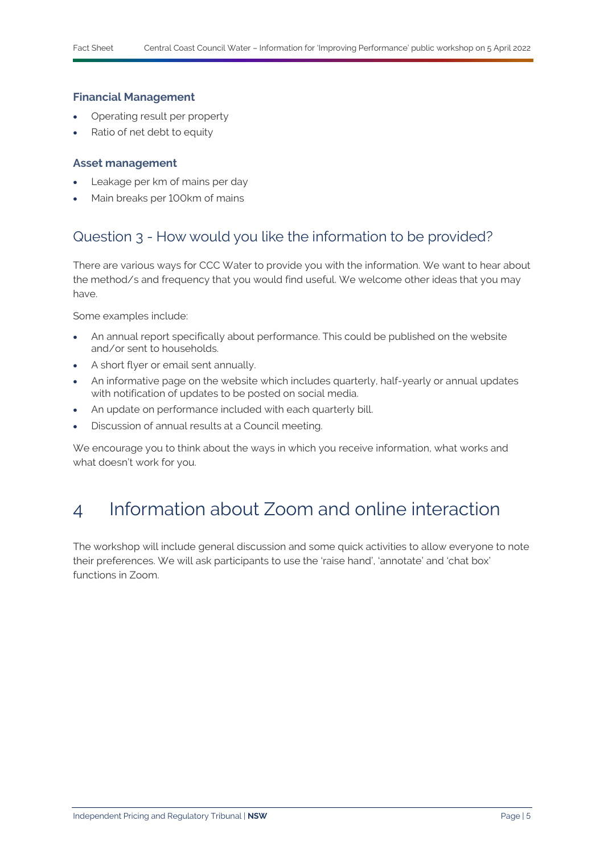#### **Financial Management**

- Operating result per property
- Ratio of net debt to equity

#### **Asset management**

- Leakage per km of mains per day
- Main breaks per 100km of mains

### Question 3 - How would you like the information to be provided?

There are various ways for CCC Water to provide you with the information. We want to hear about the method/s and frequency that you would find useful. We welcome other ideas that you may have.

Some examples include:

- An annual report specifically about performance. This could be published on the website and/or sent to households.
- A short flyer or email sent annually.
- An informative page on the website which includes quarterly, half-yearly or annual updates with notification of updates to be posted on social media.
- An update on performance included with each quarterly bill.
- Discussion of annual results at a Council meeting.

We encourage you to think about the ways in which you receive information, what works and what doesn't work for you.

## 4 Information about Zoom and online interaction

The workshop will include general discussion and some quick activities to allow everyone to note their preferences. We will ask participants to use the 'raise hand', 'annotate' and 'chat box' functions in Zoom.